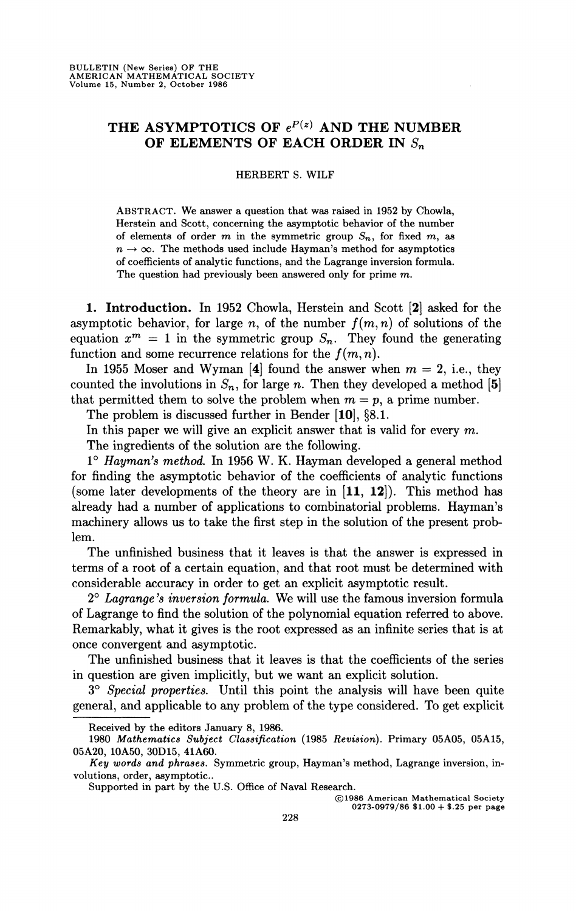## THE ASYMPTOTICS OF  $e^{P(z)}$  AND THE NUMBER **OF ELEMENTS OF EACH ORDER IN** *S<sup>n</sup>*

HERBERT S. WILF

ABSTRACT. We answer a question that was raised in 1952 by Chowla, Herstein and Scott, concerning the asymptotic behavior of the number of elements of order m in the symmetric group  $S_n$ , for fixed m, as  $n \to \infty$ . The methods used include Hayman's method for asymptotics of coefficients of analytic functions, and the Lagrange inversion formula. The question had previously been answered only for prime m.

**1. Introduction.** In 1952 Chowla, Herstein and Scott [2] asked for the asymptotic behavior, for large n, of the number  $f(m, n)$  of solutions of the equation  $x^m = 1$  in the symmetric group  $S_n$ . They found the generating function and some recurrence relations for the  $f(m, n)$ .

In 1955 Moser and Wyman  $[4]$  found the answer when  $m = 2$ , i.e., they counted the involutions in  $S_n$ , for large n. Then they developed a method [5] that permitted them to solve the problem when  $m = p$ , a prime number.

The problem is discussed further in Bender [10], §8.1.

In this paper we will give an explicit answer that is valid for every *m.* 

The ingredients of the solution are the following.

1° *Hayman's method.* In 1956 W. K. Hayman developed a general method for finding the asymptotic behavior of the coefficients of analytic functions (some later developments of the theory are in [11, 12]). This method has already had a number of applications to combinatorial problems. Hayman's machinery allows us to take the first step in the solution of the present problem.

The unfinished business that it leaves is that the answer is expressed in terms of a root of a certain equation, and that root must be determined with considerable accuracy in order to get an explicit asymptotic result.

2° *Lagrange's inversion formula.* We will use the famous inversion formula of Lagrange to find the solution of the polynomial equation referred to above. Remarkably, what it gives is the root expressed as an infinite series that is at once convergent and asymptotic.

The unfinished business that it leaves is that the coefficients of the series in question are given implicitly, but we want an explicit solution.

3° *Special properties.* Until this point the analysis will have been quite general, and applicable to any problem of the type considered. To get explicit

©1986 American Mathematical Society  $0273-0979/86$  \$1.00 + \$.25 per page

Received by the editors January 8, 1986.

<sup>1980</sup> *Mathematics Subject Classification* (1985 *Revision).* Primary 05A05, 05A15, 05A20, 10A50, 30D15, 41A60.

*Key words and phrases.* Symmetric group, Hayman's method, Lagrange inversion, involutions, order, asymptotic.

Supported in part by the U.S. Office of Naval Research.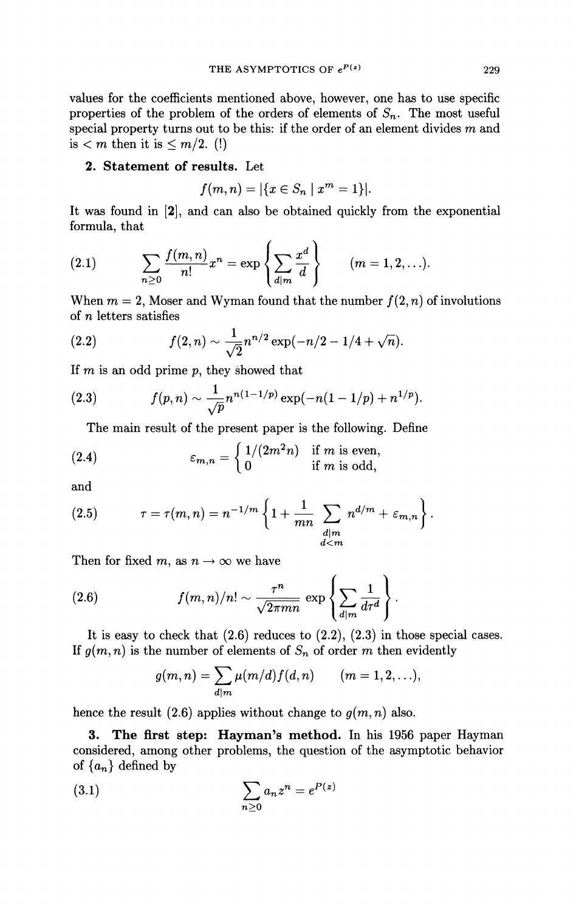values for the coefficients mentioned above, however, one has to use specific properties of the problem of the orders of elements of *Sn.* The most useful special property turns out to be this: if the order of an element divides *m* and is  $\leq m$  then it is  $\leq m/2$ . (!)

## **2. Statement of results.** Let

$$
f(m, n) = |\{x \in S_n \mid x^m = 1\}|.
$$

It was found in [2], and can also be obtained quickly from the exponential formula, that

(2.1) 
$$
\sum_{n\geq 0} \frac{f(m,n)}{n!} x^n = \exp \left\{ \sum_{d|m} \frac{x^d}{d} \right\} \qquad (m = 1, 2, ...).
$$

When  $m = 2$ , Moser and Wyman found that the number  $f(2, n)$  of involutions of *n* letters satisfies

(2.2) 
$$
f(2,n) \sim \frac{1}{\sqrt{2}} n^{n/2} \exp(-n/2 - 1/4 + \sqrt{n}).
$$

If *m* is an odd prime p, they showed that

(2.3) 
$$
f(p,n) \sim \frac{1}{\sqrt{p}} n^{n(1-1/p)} \exp(-n(1-1/p) + n^{1/p}).
$$

The main result of the present paper is the following. Define

(2.4) 
$$
\varepsilon_{m,n} = \begin{cases} 1/(2m^2n) & \text{if } m \text{ is even,} \\ 0 & \text{if } m \text{ is odd,} \end{cases}
$$

and

(2.5) 
$$
\tau = \tau(m,n) = n^{-1/m} \left\{ 1 + \frac{1}{mn} \sum_{\substack{d|m \\ d < m}} n^{d/m} + \varepsilon_{m,n} \right\}.
$$

Then for fixed m, as  $n \to \infty$  we have

(2.6) 
$$
f(m,n)/n! \sim \frac{\tau^n}{\sqrt{2\pi mn}} \exp\left\{\sum_{d|m} \frac{1}{d\tau^d}\right\}.
$$

It is easy to check that  $(2.6)$  reduces to  $(2.2)$ ,  $(2.3)$  in those special cases. If  $g(m, n)$  is the number of elements of  $S_n$  of order m then evidently

$$
g(m,n)=\sum_{d|m}\mu(m/d)f(d,n)\qquad (m=1,2,\ldots),
$$

hence the result  $(2.6)$  applies without change to  $g(m, n)$  also.

**3. The first step: Hayman's method.** In his 1956 paper Hayman considered, among other problems, the question of the asymptotic behavior of  $\{a_n\}$  defined by

(3.1) 
$$
\sum_{n\geq 0} a_n z^n = e^{P(z)}
$$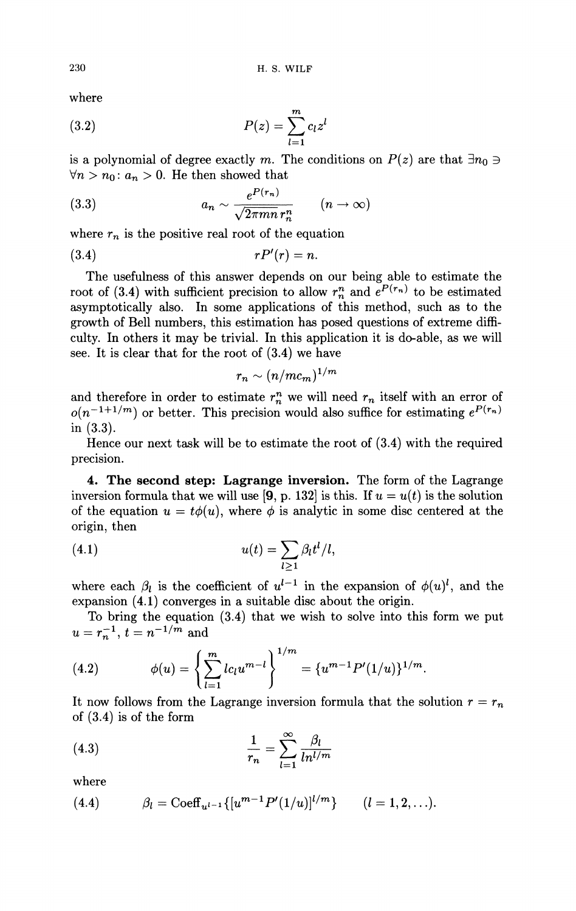where

(3.2) 
$$
P(z) = \sum_{l=1}^{m} c_l z^l
$$

is a polynomial of degree exactly m. The conditions on  $P(z)$  are that  $\exists n_0 \ni$  $\forall n > n_0: a_n > 0$ . He then showed that

(3.3) 
$$
a_n \sim \frac{e^{P(r_n)}}{\sqrt{2\pi mn}r_n^n} \qquad (n \to \infty)
$$

where  $r_n$  is the positive real root of the equation

$$
(3.4) \t\t\t rP'(r) = n.
$$

The usefulness of this answer depends on our being able to estimate the root of (3.4) with sufficient precision to allow  $r_n^n$  and  $e^{P(r_n)}$  to be estimated asymptotically also. In some applications of this method, such as to the growth of Bell numbers, this estimation has posed questions of extreme difficulty. In others it may be trivial. In this application it is do-able, as we will see. It is clear that for the root of (3.4) we have

$$
r_n \sim (n/mc_m)^{1/m}
$$

and therefore in order to estimate  $r_n$ <sup>n</sup> we will need  $r_n$  itself with an error of  $o(n^{-1+1/m})$  or better. This precision would also suffice for estimating  $e^{P(r_n)}$ in (3.3).

Hence our next task will be to estimate the root of (3.4) with the required precision.

**4. The second step: Lagrange inversion.** The form of the Lagrange inversion formula that we will use [9, p. 132] is this. If  $u = u(t)$  is the solution of the equation  $u = t\phi(u)$ , where  $\phi$  is analytic in some disc centered at the origin, then

(4.1) 
$$
u(t) = \sum_{l \geq 1} \beta_l t^l / l,
$$

where each  $\beta_l$  is the coefficient of  $u^{l-1}$  in the expansion of  $\phi(u)^l$ , and the expansion (4.1) converges in a suitable disc about the origin.

To bring the equation (3.4) that we wish to solve into this form we put  $u = r_n^{-1}, t = n^{-1/m}$  and

(4.2) 
$$
\phi(u) = \left\{ \sum_{l=1}^{m} lc_l u^{m-l} \right\}^{1/m} = \left\{ u^{m-1} P'(1/u) \right\}^{1/m}
$$

*l* agrange inversion formula that the so It now follows from the Lagrange inversion formula that the solution  $r = r_n$  of  $(3, 4)$  is of the form of (3.4) is of the form

(4.3) 
$$
\frac{1}{r_n} = \sum_{l=1}^{\infty} \frac{\beta_l}{ln^{l/m}}
$$

where

(4.4) 
$$
\beta_l = \text{Coeff}_{u^{l-1}}\{ [u^{m-1}P'(1/u)]^{l/m} \} \qquad (l = 1, 2, ...).
$$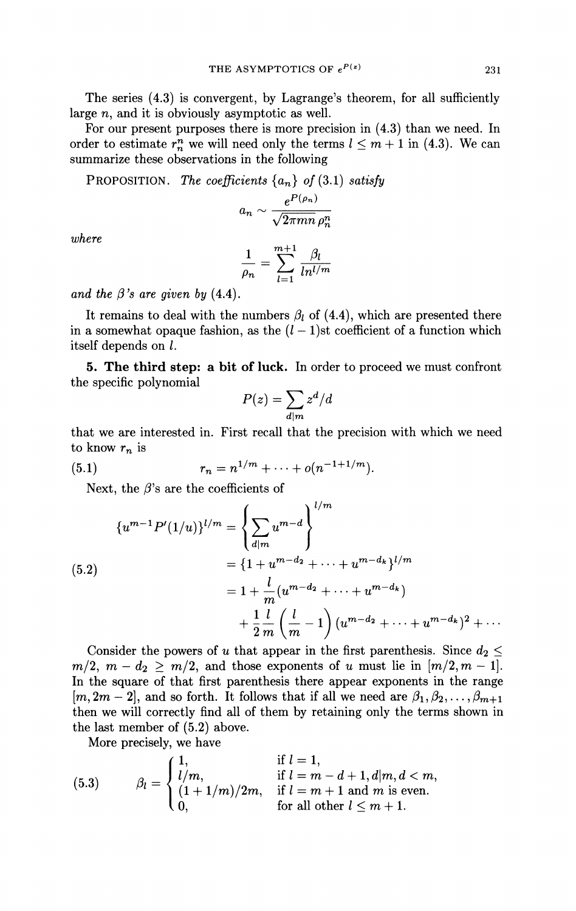The series (4.3) is convergent, by Lagrange's theorem, for all sufficiently large n, and it is obviously asymptotic as well.

For our present purposes there is more precision in (4.3) than we need. In order to estimate  $r_n^m$  we will need only the terms  $l \leq m+1$  in (4.3). We can summarize these observations in the following

**PROPOSITION.** The coefficients  $\{a_n\}$  of (3.1) satisfy

$$
a_n \sim \frac{e^{P(\rho_n)}}{\sqrt{2\pi mn}\,\rho_n^n}
$$

*where* 

$$
\frac{1}{\rho_n} = \sum_{l=1}^{m+1} \frac{\beta_l}{ln^{l/m}}
$$

*and the*  $\beta$ *'s are given by* (4.4).

It remains to deal with the numbers  $\beta_l$  of (4.4), which are presented there in a somewhat opaque fashion, as the  $(l-1)$ st coefficient of a function which itself depends on /.

**5. The third step: a bit of luck.** In order to proceed we must confront the specific polynomial

$$
P(z) = \sum_{d|m} z^d / d
$$

that we are interested in. First recall that the precision with which we need to know *rn* is

(5.1) 
$$
r_n = n^{1/m} + \cdots + o(n^{-1+1/m}).
$$

Next, the  $\beta$ 's are the coefficients of

$$
\{u^{m-1}P'(1/u)\}^{l/m} = \left\{\sum_{d|m} u^{m-d}\right\}^{l/m}
$$
  
(5.2)  

$$
= \{1 + u^{m-d_2} + \dots + u^{m-d_k}\}^{l/m}
$$

$$
= 1 + \frac{l}{m}(u^{m-d_2} + \dots + u^{m-d_k})
$$

$$
+ \frac{1}{2} \frac{l}{m} \left(\frac{l}{m} - 1\right) (u^{m-d_2} + \dots + u^{m-d_k})^2 + \dots
$$

Consider the powers of *u* that appear in the first parenthesis. Since  $d_2 \leq$  $m/2, m - d_2 \geq m/2$ , and those exponents of u must lie in  $[m/2, m - 1]$ . In the square of that first parenthesis there appear exponents in the range  $[m, 2m - 2]$ , and so forth. It follows that if all we need are  $\beta_1, \beta_2, \ldots, \beta_{m+1}$ then we will correctly find all of them by retaining only the terms shown in the last member of (5.2) above.

More precisely, we have

(5.3) 
$$
\beta_l = \begin{cases} 1, & \text{if } l = 1, \\ l/m, & \text{if } l = m - d + 1, d|m, d < m, \\ (1 + 1/m)/2m, & \text{if } l = m + 1 \text{ and } m \text{ is even.} \\ 0, & \text{for all other } l \leq m + 1. \end{cases}
$$